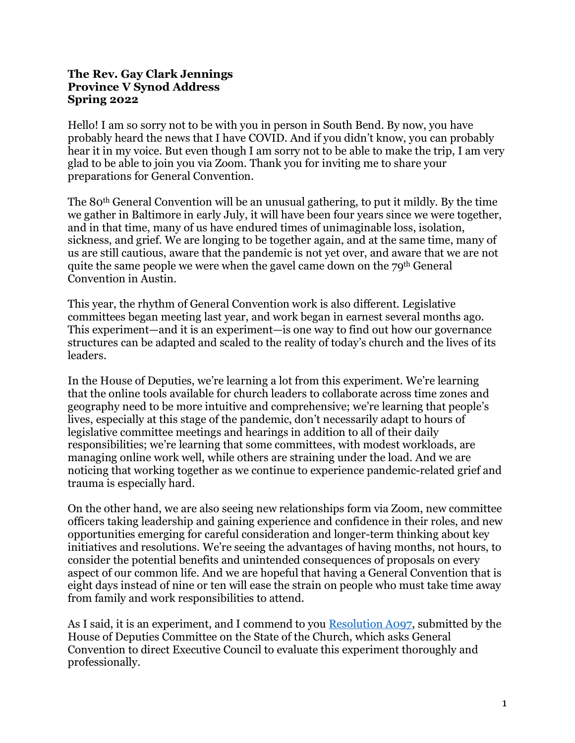## **The Rev. Gay Clark Jennings Province V Synod Address Spring 2022**

Hello! I am so sorry not to be with you in person in South Bend. By now, you have probably heard the news that I have COVID. And if you didn't know, you can probably hear it in my voice. But even though I am sorry not to be able to make the trip, I am very glad to be able to join you via Zoom. Thank you for inviting me to share your preparations for General Convention.

The 80th General Convention will be an unusual gathering, to put it mildly. By the time we gather in Baltimore in early July, it will have been four years since we were together, and in that time, many of us have endured times of unimaginable loss, isolation, sickness, and grief. We are longing to be together again, and at the same time, many of us are still cautious, aware that the pandemic is not yet over, and aware that we are not quite the same people we were when the gavel came down on the  $79<sup>th</sup>$  General Convention in Austin.

This year, the rhythm of General Convention work is also different. Legislative committees began meeting last year, and work began in earnest several months ago. This experiment—and it is an experiment—is one way to find out how our governance structures can be adapted and scaled to the reality of today's church and the lives of its leaders.

In the House of Deputies, we're learning a lot from this experiment. We're learning that the online tools available for church leaders to collaborate across time zones and geography need to be more intuitive and comprehensive; we're learning that people's lives, especially at this stage of the pandemic, don't necessarily adapt to hours of legislative committee meetings and hearings in addition to all of their daily responsibilities; we're learning that some committees, with modest workloads, are managing online work well, while others are straining under the load. And we are noticing that working together as we continue to experience pandemic-related grief and trauma is especially hard.

On the other hand, we are also seeing new relationships form via Zoom, new committee officers taking leadership and gaining experience and confidence in their roles, and new opportunities emerging for careful consideration and longer-term thinking about key initiatives and resolutions. We're seeing the advantages of having months, not hours, to consider the potential benefits and unintended consequences of proposals on every aspect of our common life. And we are hopeful that having a General Convention that is eight days instead of nine or ten will ease the strain on people who must take time away from family and work responsibilities to attend.

As I said, it is an experiment, and I commend to you Resolution A097, submitted by the House of Deputies Committee on the State of the Church, which asks General Convention to direct Executive Council to evaluate this experiment thoroughly and professionally.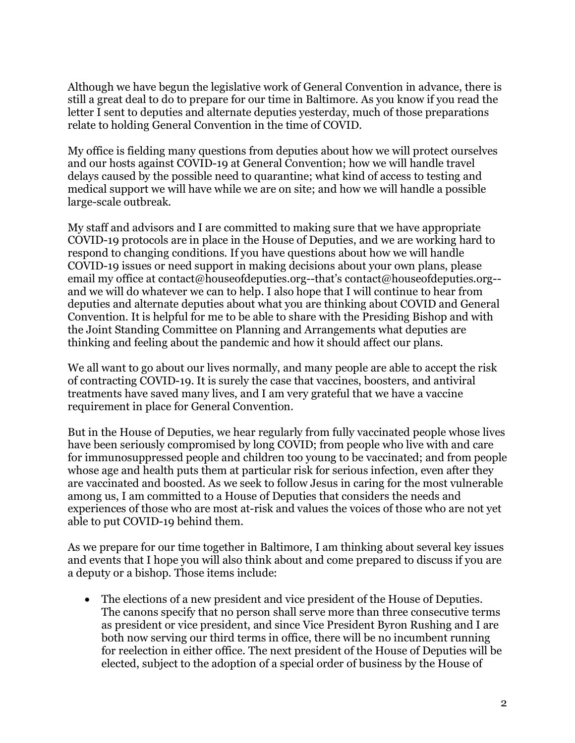Although we have begun the legislative work of General Convention in advance, there is still a great deal to do to prepare for our time in Baltimore. As you know if you read the letter I sent to deputies and alternate deputies yesterday, much of those preparations relate to holding General Convention in the time of COVID.

My office is fielding many questions from deputies about how we will protect ourselves and our hosts against COVID-19 at General Convention; how we will handle travel delays caused by the possible need to quarantine; what kind of access to testing and medical support we will have while we are on site; and how we will handle a possible large-scale outbreak.

My staff and advisors and I are committed to making sure that we have appropriate COVID-19 protocols are in place in the House of Deputies, and we are working hard to respond to changing conditions. If you have questions about how we will handle COVID-19 issues or need support in making decisions about your own plans, please email my office at contact@houseofdeputies.org--that's contact@houseofdeputies.org-and we will do whatever we can to help. I also hope that I will continue to hear from deputies and alternate deputies about what you are thinking about COVID and General Convention. It is helpful for me to be able to share with the Presiding Bishop and with the Joint Standing Committee on Planning and Arrangements what deputies are thinking and feeling about the pandemic and how it should affect our plans.

We all want to go about our lives normally, and many people are able to accept the risk of contracting COVID-19. It is surely the case that vaccines, boosters, and antiviral treatments have saved many lives, and I am very grateful that we have a vaccine requirement in place for General Convention.

But in the House of Deputies, we hear regularly from fully vaccinated people whose lives have been seriously compromised by long COVID; from people who live with and care for immunosuppressed people and children too young to be vaccinated; and from people whose age and health puts them at particular risk for serious infection, even after they are vaccinated and boosted. As we seek to follow Jesus in caring for the most vulnerable among us, I am committed to a House of Deputies that considers the needs and experiences of those who are most at-risk and values the voices of those who are not yet able to put COVID-19 behind them.

As we prepare for our time together in Baltimore, I am thinking about several key issues and events that I hope you will also think about and come prepared to discuss if you are a deputy or a bishop. Those items include:

• The elections of a new president and vice president of the House of Deputies. The canons specify that no person shall serve more than three consecutive terms as president or vice president, and since Vice President Byron Rushing and I are both now serving our third terms in office, there will be no incumbent running for reelection in either office. The next president of the House of Deputies will be elected, subject to the adoption of a special order of business by the House of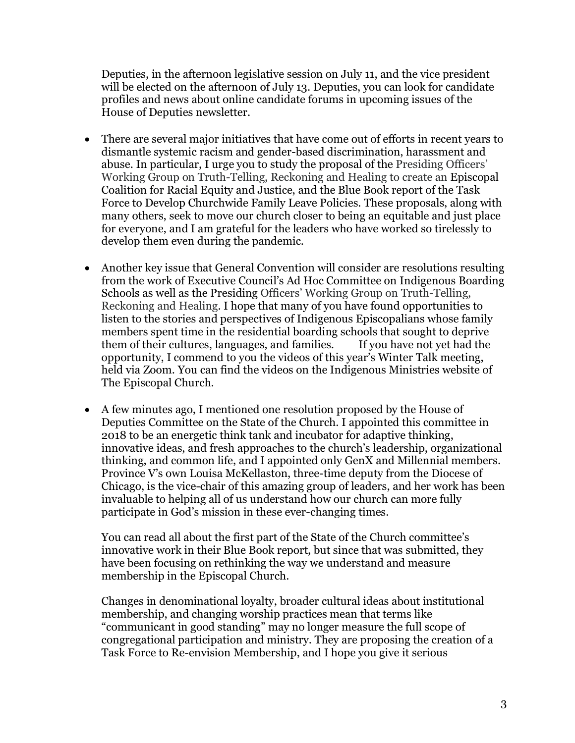Deputies, in the afternoon legislative session on July 11, and the vice president will be elected on the afternoon of July 13. Deputies, you can look for candidate profiles and news about online candidate forums in upcoming issues of the House of Deputies newsletter.

- There are several major initiatives that have come out of efforts in recent years to dismantle systemic racism and gender-based discrimination, harassment and abuse. In particular, I urge you to study the proposal of the Presiding Officers' Working Group on Truth-Telling, Reckoning and Healing to create an Episcopal Coalition for Racial Equity and Justice, and the Blue Book report of the Task Force to Develop Churchwide Family Leave Policies. These proposals, along with many others, seek to move our church closer to being an equitable and just place for everyone, and I am grateful for the leaders who have worked so tirelessly to develop them even during the pandemic.
- Another key issue that General Convention will consider are resolutions resulting from the work of Executive Council's Ad Hoc Committee on Indigenous Boarding Schools as well as the Presiding Officers' Working Group on Truth-Telling, Reckoning and Healing. I hope that many of you have found opportunities to listen to the stories and perspectives of Indigenous Episcopalians whose family members spent time in the residential boarding schools that sought to deprive<br>them of their cultures, languages, and families. If you have not vet had the them of their cultures, languages, and families. opportunity, I commend to you the videos of this year's Winter Talk meeting, held via Zoom. You can find the videos on the Indigenous Ministries website of The Episcopal Church.
- A few minutes ago, I mentioned one resolution proposed by the House of Deputies Committee on the State of the Church. I appointed this committee in 2018 to be an energetic think tank and incubator for adaptive thinking, innovative ideas, and fresh approaches to the church's leadership, organizational thinking, and common life, and I appointed only GenX and Millennial members. Province V's own Louisa McKellaston, three-time deputy from the Diocese of Chicago, is the vice-chair of this amazing group of leaders, and her work has been invaluable to helping all of us understand how our church can more fully participate in God's mission in these ever-changing times.

You can read all about the first part of the State of the Church committee's innovative work in their Blue Book report, but since that was submitted, they have been focusing on rethinking the way we understand and measure membership in the Episcopal Church.

Changes in denominational loyalty, broader cultural ideas about institutional membership, and changing worship practices mean that terms like "communicant in good standing" may no longer measure the full scope of congregational participation and ministry. They are proposing the creation of a Task Force to Re-envision Membership, and I hope you give it serious